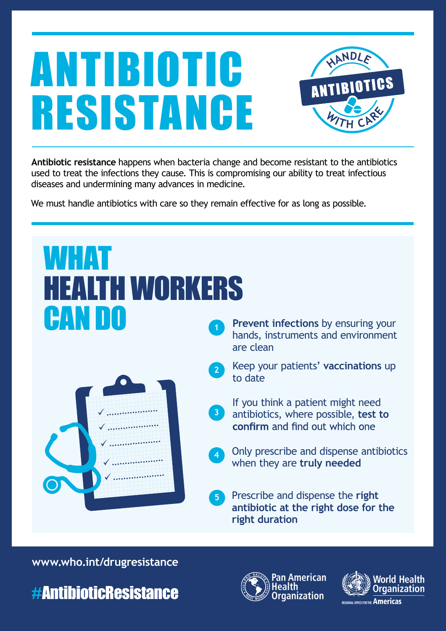

**Antibiotic resistance** happens when bacteria change and become resistant to the antibiotics used to treat the infections they cause. This is compromising our ability to treat infectious diseases and undermining many advances in medicine.

We must handle antibiotics with care so they remain effective for as long as possible.

#### WHAT HEALTH WORKERS **CANDO** Prevent infections by ensuring your hands, instruments and environment are clean Keep your patients' **vaccinations** up **2** to date If you think a patient might need **3** antibiotics, where possible, **test to**  .................... confirm and find out which one .................... .................... Only prescribe and dispense antibiotics **4** when they are **truly needed** .................... .................... Prescribe and dispense the **right 5 antibiotic at the right dose for the right duration**

**www.who.int/drugresistance**





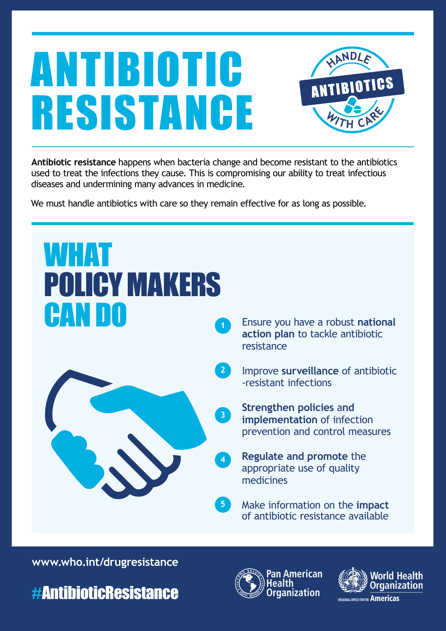

**Antibiotic resistance** happens when bacteria change and become resistant to the antibiotics used to treat the infections they cause. This is compromising our ability to treat infectious diseases and undermining many advances in medicine.

We must handle antibiotics with care so they remain effective for as long as possible.



**www.who.int/drugresistance**





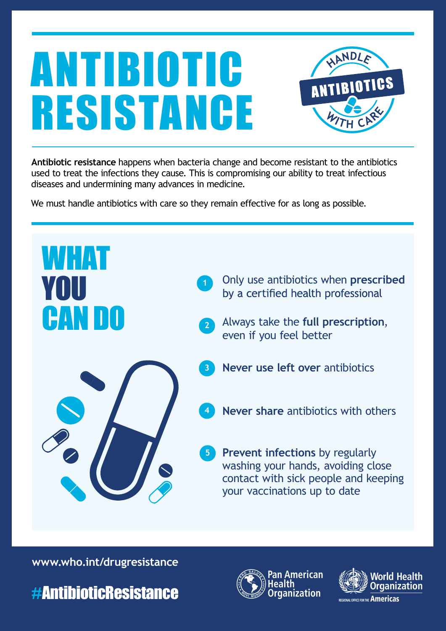

**Antibiotic resistance** happens when bacteria change and become resistant to the antibiotics used to treat the infections they cause. This is compromising our ability to treat infectious diseases and undermining many advances in medicine.

We must handle antibiotics with care so they remain effective for as long as possible.



**www.who.int/drugresistance**